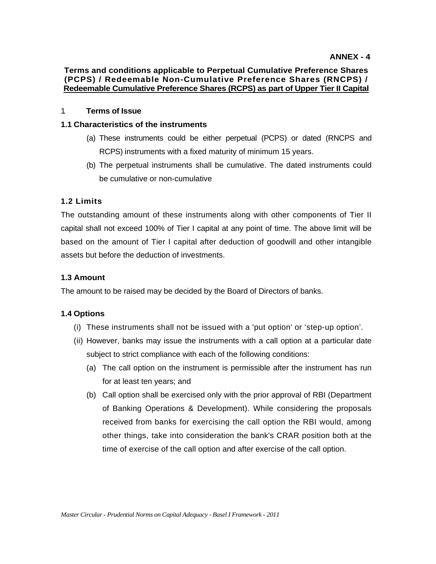# **Terms and conditions applicable to Perpetual Cumulative Preference Shares (PCPS) / Redeemable Non-Cumulative Preference Shares (RNCPS) / Redeemable Cumulative Preference Shares (RCPS) as part of Upper Tier II Capital**

# 1. **Terms of Issue**

# **1.1 Characteristics of the instruments**

- (a) These instruments could be either perpetual (PCPS) or dated (RNCPS and RCPS) instruments with a fixed maturity of minimum 15 years.
- (b) The perpetual instruments shall be cumulative. The dated instruments could be cumulative or non-cumulative

# **1.2 Limits**

The outstanding amount of these instruments along with other components of Tier II capital shall not exceed 100% of Tier I capital at any point of time. The above limit will be based on the amount of Tier I capital after deduction of goodwill and other intangible assets but before the deduction of investments.

# **1.3 Amount**

The amount to be raised may be decided by the Board of Directors of banks.

# **1.4 Options**

- (i) These instruments shall not be issued with a 'put option' or 'step-up option'.
- (ii) However, banks may issue the instruments with a call option at a particular date subject to strict compliance with each of the following conditions:
	- (a) The call option on the instrument is permissible after the instrument has run for at least ten years; and
	- (b) Call option shall be exercised only with the prior approval of RBI (Department of Banking Operations & Development). While considering the proposals received from banks for exercising the call option the RBI would, among other things, take into consideration the bank's CRAR position both at the time of exercise of the call option and after exercise of the call option.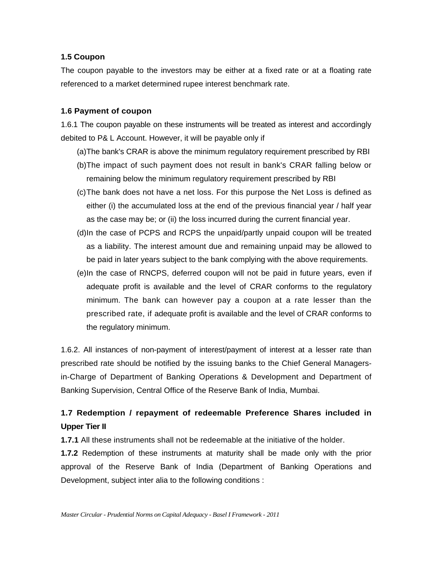# **1.5 Coupon**

The coupon payable to the investors may be either at a fixed rate or at a floating rate referenced to a market determined rupee interest benchmark rate.

# **1.6 Payment of coupon**

1.6.1 The coupon payable on these instruments will be treated as interest and accordingly debited to P& L Account. However, it will be payable only if

- (a) The bank's CRAR is above the minimum regulatory requirement prescribed by RBI
- (b) The impact of such payment does not result in bank's CRAR falling below or remaining below the minimum regulatory requirement prescribed by RBI
- (c) The bank does not have a net loss. For this purpose the Net Loss is defined as either (i) the accumulated loss at the end of the previous financial year / half year as the case may be; or (ii) the loss incurred during the current financial year.
- (d) In the case of PCPS and RCPS the unpaid/partly unpaid coupon will be treated as a liability. The interest amount due and remaining unpaid may be allowed to be paid in later years subject to the bank complying with the above requirements.
- (e) In the case of RNCPS, deferred coupon will not be paid in future years, even if adequate profit is available and the level of CRAR conforms to the regulatory minimum. The bank can however pay a coupon at a rate lesser than the prescribed rate, if adequate profit is available and the level of CRAR conforms to the regulatory minimum.

1.6.2. All instances of non-payment of interest/payment of interest at a lesser rate than prescribed rate should be notified by the issuing banks to the Chief General Managersin-Charge of Department of Banking Operations & Development and Department of Banking Supervision, Central Office of the Reserve Bank of India, Mumbai.

# **1.7 Redemption / repayment of redeemable Preference Shares included in Upper Tier II**

**1.7.1** All these instruments shall not be redeemable at the initiative of the holder.

**1.7.2** Redemption of these instruments at maturity shall be made only with the prior approval of the Reserve Bank of India (Department of Banking Operations and Development, subject inter alia to the following conditions :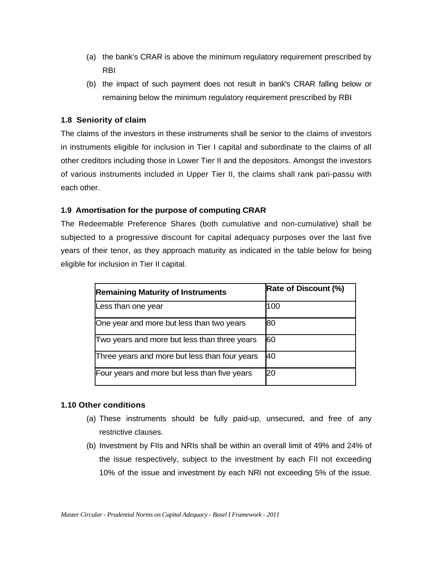- (a) the bank's CRAR is above the minimum regulatory requirement prescribed by RBI
- (b) the impact of such payment does not result in bank's CRAR falling below or remaining below the minimum regulatory requirement prescribed by RBI

# **1.8 Seniority of claim**

The claims of the investors in these instruments shall be senior to the claims of investors in instruments eligible for inclusion in Tier I capital and subordinate to the claims of all other creditors including those in Lower Tier II and the depositors. Amongst the investors of various instruments included in Upper Tier II, the claims shall rank pari-passu with each other.

# **1.9 Amortisation for the purpose of computing CRAR**

The Redeemable Preference Shares (both cumulative and non-cumulative) shall be subjected to a progressive discount for capital adequacy purposes over the last five years of their tenor, as they approach maturity as indicated in the table below for being eligible for inclusion in Tier II capital.

| <b>Remaining Maturity of Instruments</b>      | <b>Rate of Discount (%)</b> |
|-----------------------------------------------|-----------------------------|
| Less than one year                            | 100                         |
| One year and more but less than two years     | 80                          |
| Two years and more but less than three years  | <b>60</b>                   |
| Three years and more but less than four years | 140                         |
| Four years and more but less than five years  | 20                          |

#### **1.10 Other conditions**

- (a) These instruments should be fully paid-up, unsecured, and free of any restrictive clauses.
- (b) Investment by FIIs and NRIs shall be within an overall limit of 49% and 24% of the issue respectively, subject to the investment by each FII not exceeding 10% of the issue and investment by each NRI not exceeding 5% of the issue.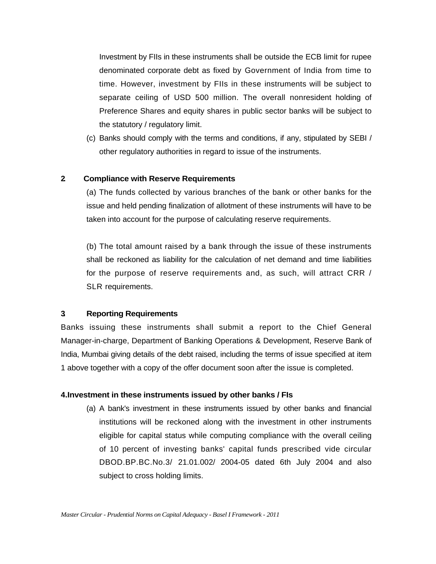Investment by FIIs in these instruments shall be outside the ECB limit for rupee denominated corporate debt as fixed by Government of India from time to time. However, investment by FIIs in these instruments will be subject to separate ceiling of USD 500 million. The overall nonresident holding of Preference Shares and equity shares in public sector banks will be subject to the statutory / regulatory limit.

(c) Banks should comply with the terms and conditions, if any, stipulated by SEBI / other regulatory authorities in regard to issue of the instruments.

#### **2. Compliance with Reserve Requirements**

(a) The funds collected by various branches of the bank or other banks for the issue and held pending finalization of allotment of these instruments will have to be taken into account for the purpose of calculating reserve requirements.

(b) The total amount raised by a bank through the issue of these instruments shall be reckoned as liability for the calculation of net demand and time liabilities for the purpose of reserve requirements and, as such, will attract CRR / SLR requirements.

#### **3. Reporting Requirements**

Banks issuing these instruments shall submit a report to the Chief General Manager-in-charge, Department of Banking Operations & Development, Reserve Bank of India, Mumbai giving details of the debt raised, including the terms of issue specified at item 1 above together with a copy of the offer document soon after the issue is completed.

#### **4.Investment in these instruments issued by other banks / FIs**

(a) A bank's investment in these instruments issued by other banks and financial institutions will be reckoned along with the investment in other instruments eligible for capital status while computing compliance with the overall ceiling of 10 percent of investing banks' capital funds prescribed vide circular DBOD.BP.BC.No.3/ 21.01.002/ 2004-05 dated 6th July 2004 and also subject to cross holding limits.